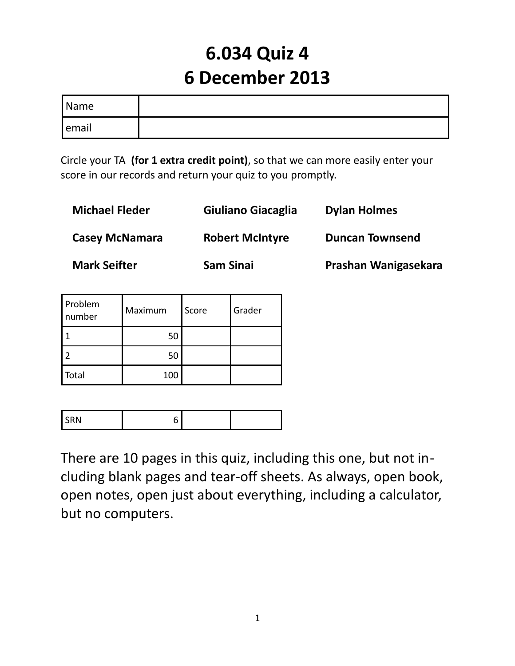# **6.034 Quiz 4 6 December 2013**

| <i>Name</i> |  |
|-------------|--|
| email       |  |

Circle your TA **(for 1 extra credit point)**, so that we can more easily enter your score in our records and return your quiz to you promptly.

| <b>Michael Fleder</b> | Giuliano Giacaglia     | <b>Dylan Holmes</b>    |
|-----------------------|------------------------|------------------------|
| <b>Casey McNamara</b> | <b>Robert McIntyre</b> | <b>Duncan Townsend</b> |
| <b>Mark Seifter</b>   | <b>Sam Sinai</b>       | Prashan Wanigasekara   |

| Problem<br>number | Maximum | Score | Grader |
|-------------------|---------|-------|--------|
|                   | 50      |       |        |
|                   | 50      |       |        |
| Total             | 100     |       |        |

| $\ddot{\phantom{1}}$<br>. |  |  |
|---------------------------|--|--|

There are 10 pages in this quiz, including this one, but not including blank pages and tear-off sheets. As always, open book, open notes, open just about everything, including a calculator, but no computers.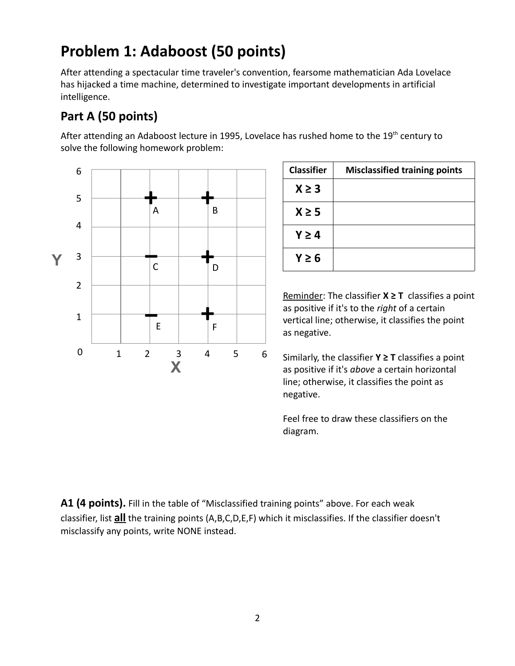# **Problem 1: Adaboost (50 points)**

After attending a spectacular time traveler's convention, fearsome mathematician Ada Lovelace has hijacked a time machine, determined to investigate important developments in artificial intelligence.

#### **Part A (50 points)**

After attending an Adaboost lecture in 1995, Lovelace has rushed home to the  $19^{th}$  century to solve the following homework problem:



| <b>Classifier</b> | <b>Misclassified training points</b> |
|-------------------|--------------------------------------|
| $X \geq 3$        |                                      |
| $X \geq 5$        |                                      |
| $Y \geq 4$        |                                      |
| $Y \geq 6$        |                                      |

Reminder: The classifier **X ≥ T** classifies a point as positive if it's to the *right* of a certain vertical line; otherwise, it classifies the point as negative.

Similarly, the classifier **Y ≥ T** classifies a point as positive if it's *above* a certain horizontal line; otherwise, it classifies the point as negative.

Feel free to draw these classifiers on the diagram.

**A1 (4 points).** Fill in the table of "Misclassified training points" above. For each weak classifier, list **all** the training points (A,B,C,D,E,F) which it misclassifies. If the classifier doesn't misclassify any points, write NONE instead.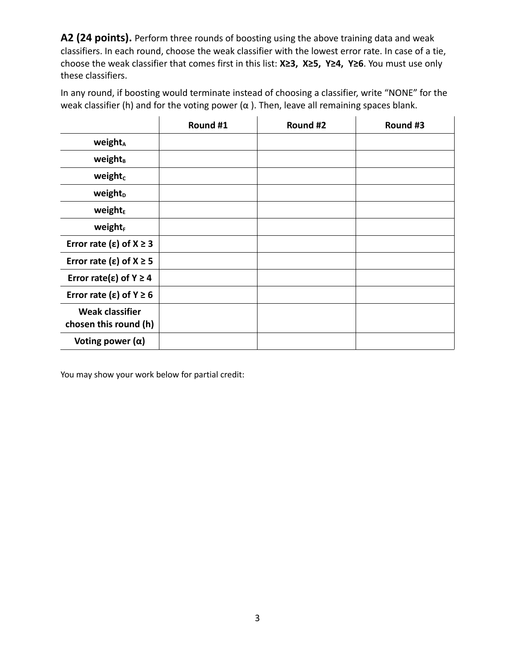**A2 (24 points).** Perform three rounds of boosting using the above training data and weak classifiers. In each round, choose the weak classifier with the lowest error rate. In case of a tie, choose the weak classifier that comes first in this list: **X≥3, X≥5, Y≥4, Y≥6**. You must use only these classifiers.

In any round, if boosting would terminate instead of choosing a classifier, write "NONE" for the weak classifier (h) and for the voting power ( $\alpha$ ). Then, leave all remaining spaces blank.

|                                                 | Round #1 | Round #2 | Round #3 |
|-------------------------------------------------|----------|----------|----------|
| <b>weight</b> <sup>A</sup>                      |          |          |          |
| weight <sub>B</sub>                             |          |          |          |
| weight <sub>c</sub>                             |          |          |          |
| weight <sub>D</sub>                             |          |          |          |
| weight <sub>E</sub>                             |          |          |          |
| weight <sub>F</sub>                             |          |          |          |
| Error rate ( $\varepsilon$ ) of $X \ge 3$       |          |          |          |
| Error rate ( $\varepsilon$ ) of $X \ge 5$       |          |          |          |
| Error rate( $\epsilon$ ) of Y $\geq$ 4          |          |          |          |
| Error rate ( $\varepsilon$ ) of Y $\geq 6$      |          |          |          |
| <b>Weak classifier</b><br>chosen this round (h) |          |          |          |
| Voting power $(\alpha)$                         |          |          |          |

You may show your work below for partial credit: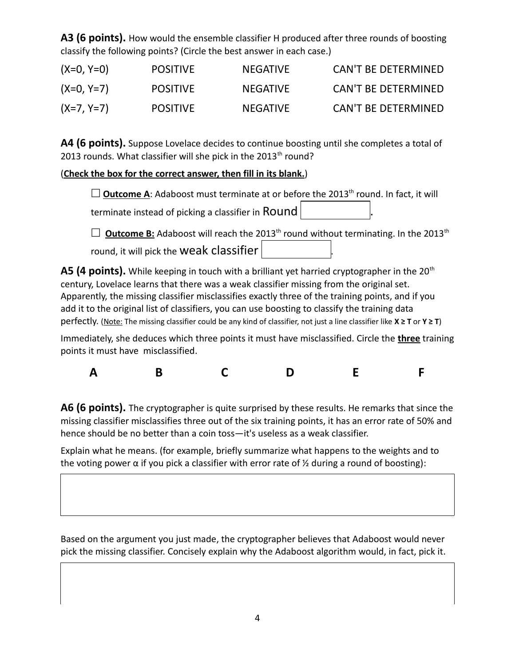**A3 (6 points).** How would the ensemble classifier H produced after three rounds of boosting classify the following points? (Circle the best answer in each case.)

| $(X=0, Y=0)$ | <b>POSITIVE</b> | <b>NEGATIVE</b> | <b>CAN'T BE DETERMINED</b> |
|--------------|-----------------|-----------------|----------------------------|
| $(X=0, Y=7)$ | <b>POSITIVE</b> | <b>NEGATIVE</b> | <b>CAN'T BE DETERMINED</b> |
| $(X=7, Y=7)$ | <b>POSITIVE</b> | <b>NEGATIVE</b> | <b>CAN'T BE DETERMINED</b> |

**A4 (6 points).** Suppose Lovelace decides to continue boosting until she completes a total of 2013 rounds. What classifier will she pick in the  $2013<sup>th</sup>$  round?

#### ( **Check the box for the correct answer, then fill in its blank.**)

 $\Box$  **Outcome A:** Adaboost must terminate at or before the 2013<sup>th</sup> round. In fact, it will

terminate instead of picking a classifier in ROUND

 $\Box$  **Outcome B:** Adaboost will reach the 2013<sup>th</sup> round without terminating. In the 2013<sup>th</sup> round, it will pick the weak classifier

**A5 (4 points).** While keeping in touch with a brilliant yet harried cryptographer in the 20<sup>th</sup> century, Lovelace learns that there was a weak classifier missing from the original set. Apparently, the missing classifier misclassifies exactly three of the training points, and if you add it to the original list of classifiers, you can use boosting to classify the training data perfectly. (Note: The missing classifier could be any kind of classifier, not just a line classifier like **X ≥ T** or **Y ≥ T**)

Immediately, she deduces which three points it must have misclassified. Circle the **three** training points it must have misclassified.

| $\overline{ }$ |  |  |
|----------------|--|--|
|----------------|--|--|

**A6 (6 points).** The cryptographer is quite surprised by these results. He remarks that since the missing classifier misclassifies three out of the six training points, it has an error rate of 50% and hence should be no better than a coin toss—it's useless as a weak classifier.

Explain what he means. (for example, briefly summarize what happens to the weights and to the voting power  $\alpha$  if you pick a classifier with error rate of  $\frac{1}{2}$  during a round of boosting):

Based on the argument you just made, the cryptographer believes that Adaboost would never pick the missing classifier. Concisely explain why the Adaboost algorithm would, in fact, pick it.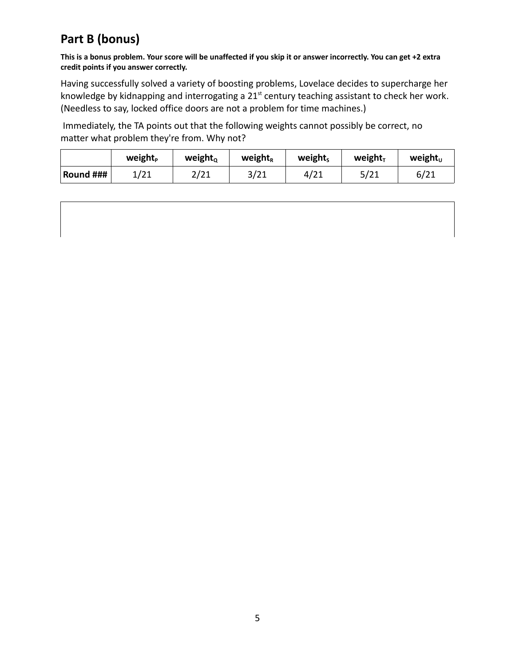### **Part B (bonus)**

**This is a bonus problem. Your score will be unaffected if you skip it or answer incorrectly. You can get +2 extra credit points if you answer correctly.**

Having successfully solved a variety of boosting problems, Lovelace decides to supercharge her knowledge by kidnapping and interrogating a 21<sup>st</sup> century teaching assistant to check her work. (Needless to say, locked office doors are not a problem for time machines.)

 Immediately, the TA points out that the following weights cannot possibly be correct, no matter what problem they're from. Why not?

|           | <b>weight</b> <sub>P</sub> | weight $_{\textrm{\tiny{Q}}}$ | weight <sub>r</sub> | weights | weight $T$ | weight $_0$ |
|-----------|----------------------------|-------------------------------|---------------------|---------|------------|-------------|
| Round ### | 1/21                       | 2/21                          | 3/21                | 4/21    | 5/21       | 6/21        |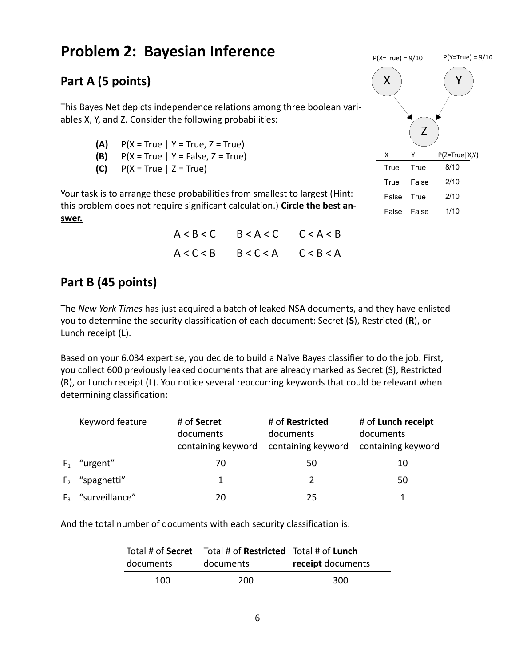## **Problem 2: Bayesian Inference**

#### **Part A (5 points)**

This Bayes Net depicts independence relations among three boolean variables X, Y, and Z. Consider the following probabilities:

- **(A)** P(X = True | Y = True, Z = True)
- **(B)** P(X = True | Y = False, Z = True)
- **(C)** P(X = True | Z = True)

Your task is to arrange these probabilities from smallest to largest (Hint: this problem does not require significant calculation.) **Circle the best answer.**

X ) ( Y Z  $X \qquad Y \qquad P(Z = True | X,Y)$ True True 8/10 True False 2/10 False True 2/10 False False 1/10  $P(X=True) = 9/10$   $P(Y=True) = 9/10$ 

| $A < B < C$ $B < A < C$ $C < A < B$ |  |
|-------------------------------------|--|
| $A < C < B$ $B < C < A$ $C < B < A$ |  |

#### **Part B (45 points)**

The *New York Times* has just acquired a batch of leaked NSA documents, and they have enlisted you to determine the security classification of each document: Secret (**S**), Restricted (**R**), or Lunch receipt (**L**).

Based on your 6.034 expertise, you decide to build a Naïve Bayes classifier to do the job. First, you collect 600 previously leaked documents that are already marked as Secret (S), Restricted (R), or Lunch receipt (L). You notice several reoccurring keywords that could be relevant when determining classification:

|                | Keyword feature | # of Secret<br>documents<br>containing keyword | # of Restricted<br>documents<br>containing keyword | # of Lunch receipt<br>documents<br>containing keyword |
|----------------|-----------------|------------------------------------------------|----------------------------------------------------|-------------------------------------------------------|
| $F_{1}$        | "urgent"        | 70                                             | 50                                                 | 10                                                    |
| F <sub>2</sub> | "spaghetti"     | 1                                              |                                                    | 50                                                    |
| $F_{3}$        | "surveillance"  | 20                                             | 25                                                 |                                                       |

And the total number of documents with each security classification is:

|           | Total # of Secret Total # of Restricted Total # of Lunch |                   |
|-----------|----------------------------------------------------------|-------------------|
| documents | documents                                                | receipt documents |
| 100       | 200                                                      | 300               |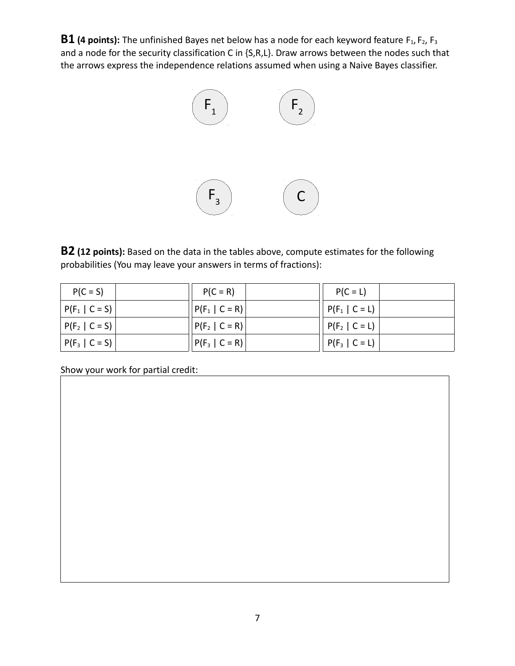**B1** (4 points): The unfinished Bayes net below has a node for each keyword feature F<sub>1</sub>, F<sub>2</sub>, F<sub>3</sub> and a node for the security classification C in {S,R,L}. Draw arrows between the nodes such that the arrows express the independence relations assumed when using a Naive Bayes classifier.



**B2 (12 points):** Based on the data in the tables above, compute estimates for the following probabilities (You may leave your answers in terms of fractions):

| $P(C = S)$         | $P(C = R)$         | $P(C = L)$         |
|--------------------|--------------------|--------------------|
| $ P(F_1   C = S) $ | $ P(F_1   C = R) $ | $ P(F_1   C = L) $ |
| $ P(F_2   C = S) $ | $ P(F_2   C = R) $ | $ P(F_2   C = L) $ |
| $ P(F_3   C = S) $ | $ P(F_3   C = R) $ | $ P(F_3   C = L) $ |

Show your work for partial credit: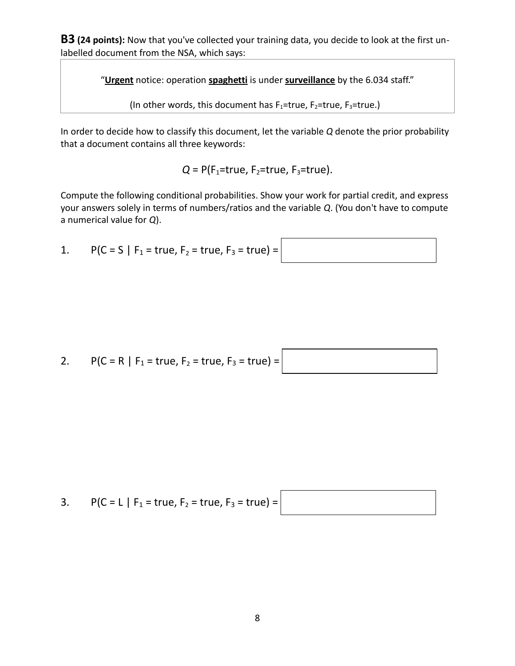**B3 (24 points):** Now that you've collected your training data, you decide to look at the first unlabelled document from the NSA, which says:

"**Urgent** notice: operation **spaghetti** is under **surveillance** by the 6.034 staff."

(In other words, this document has  $F_1$ =true,  $F_2$ =true,  $F_3$ =true.)

In order to decide how to classify this document, let the variable *Q* denote the prior probability that a document contains all three keywords:

 $Q = P(F_1 = true, F_2 = true, F_3 = true)$ .

Compute the following conditional probabilities. Show your work for partial credit, and express your answers solely in terms of numbers/ratios and the variable *Q*. (You don't have to compute a numerical value for *Q*).

1.  $P(C = S | F_1 = true, F_2 = true, F_3 = true) =$ 

2. 
$$
P(C = R | F_1 = true, F_2 = true, F_3 = true) =
$$

3. 
$$
P(C = L | F_1 = true, F_2 = true, F_3 = true) =
$$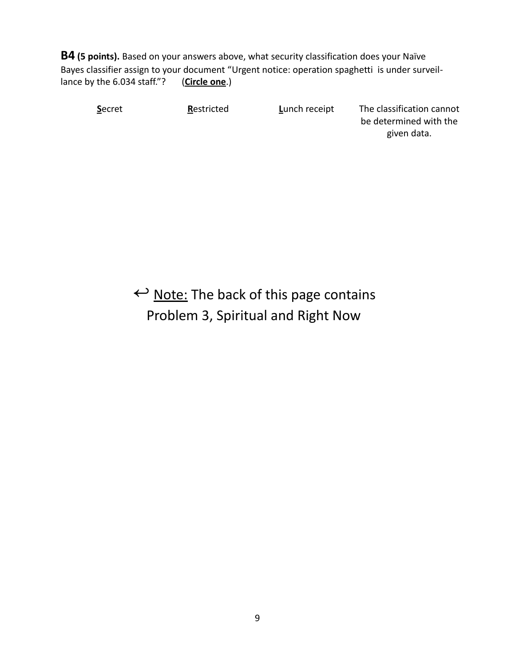**B4 (5 points).** Based on your answers above, what security classification does your Naïve Bayes classifier assign to your document "Urgent notice: operation spaghetti is under surveillance by the 6.034 staff."? (**Circle one**.)

**S**ecret **R**estricted **Lunch receipt** The classification cannot be determined with the given data.

 $\leftrightarrow$  Note: The back of this page contains Problem 3, Spiritual and Right Now